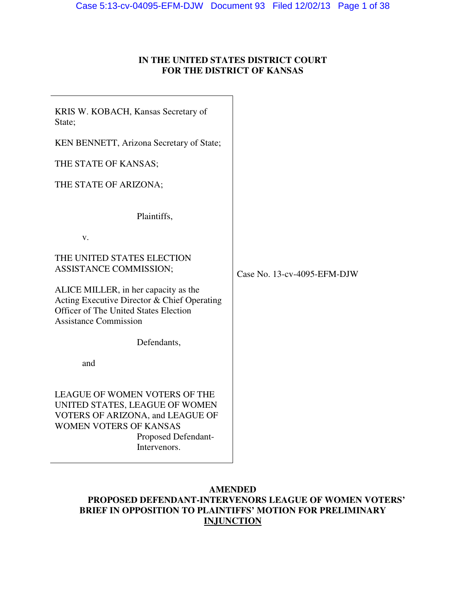## **IN THE UNITED STATES DISTRICT COURT FOR THE DISTRICT OF KANSAS**

| KRIS W. KOBACH, Kansas Secretary of<br>State;                                                                                                                               |                             |
|-----------------------------------------------------------------------------------------------------------------------------------------------------------------------------|-----------------------------|
| KEN BENNETT, Arizona Secretary of State;                                                                                                                                    |                             |
| THE STATE OF KANSAS;                                                                                                                                                        |                             |
| THE STATE OF ARIZONA;                                                                                                                                                       |                             |
| Plaintiffs,                                                                                                                                                                 |                             |
| V.                                                                                                                                                                          |                             |
| THE UNITED STATES ELECTION<br>ASSISTANCE COMMISSION;                                                                                                                        | Case No. 13-cv-4095-EFM-DJW |
| ALICE MILLER, in her capacity as the<br>Acting Executive Director & Chief Operating<br><b>Officer of The United States Election</b><br><b>Assistance Commission</b>         |                             |
| Defendants,                                                                                                                                                                 |                             |
| and                                                                                                                                                                         |                             |
| LEAGUE OF WOMEN VOTERS OF THE<br>UNITED STATES, LEAGUE OF WOMEN<br>VOTERS OF ARIZONA, and LEAGUE OF<br><b>WOMEN VOTERS OF KANSAS</b><br>Proposed Defendant-<br>Intervenors. |                             |

## **AMENDED PROPOSED DEFENDANT-INTERVENORS LEAGUE OF WOMEN VOTERS' BRIEF IN OPPOSITION TO PLAINTIFFS' MOTION FOR PRELIMINARY INJUNCTION**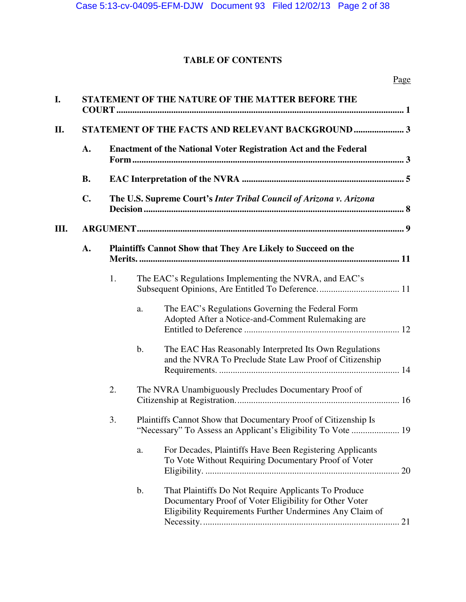# **TABLE OF CONTENTS**

| I.   |                |                                                                         |    | STATEMENT OF THE NATURE OF THE MATTER BEFORE THE                                                                                                                           |
|------|----------------|-------------------------------------------------------------------------|----|----------------------------------------------------------------------------------------------------------------------------------------------------------------------------|
| П.   |                |                                                                         |    | STATEMENT OF THE FACTS AND RELEVANT BACKGROUND 3                                                                                                                           |
|      | A.             | <b>Enactment of the National Voter Registration Act and the Federal</b> |    |                                                                                                                                                                            |
|      | <b>B.</b>      |                                                                         |    |                                                                                                                                                                            |
|      | $\mathbf{C}$ . |                                                                         |    | The U.S. Supreme Court's Inter Tribal Council of Arizona v. Arizona                                                                                                        |
| III. |                |                                                                         |    |                                                                                                                                                                            |
|      | A.             |                                                                         |    | Plaintiffs Cannot Show that They Are Likely to Succeed on the                                                                                                              |
|      |                | 1.                                                                      |    | The EAC's Regulations Implementing the NVRA, and EAC's                                                                                                                     |
|      |                |                                                                         | a. | The EAC's Regulations Governing the Federal Form<br>Adopted After a Notice-and-Comment Rulemaking are                                                                      |
|      |                |                                                                         | b. | The EAC Has Reasonably Interpreted Its Own Regulations<br>and the NVRA To Preclude State Law Proof of Citizenship                                                          |
|      |                | 2.                                                                      |    | The NVRA Unambiguously Precludes Documentary Proof of                                                                                                                      |
|      |                | 3.                                                                      |    | Plaintiffs Cannot Show that Documentary Proof of Citizenship Is<br>19                                                                                                      |
|      |                |                                                                         | a. | For Decades, Plaintiffs Have Been Registering Applicants<br>To Vote Without Requiring Documentary Proof of Voter                                                           |
|      |                |                                                                         | b. | That Plaintiffs Do Not Require Applicants To Produce<br>Documentary Proof of Voter Eligibility for Other Voter<br>Eligibility Requirements Further Undermines Any Claim of |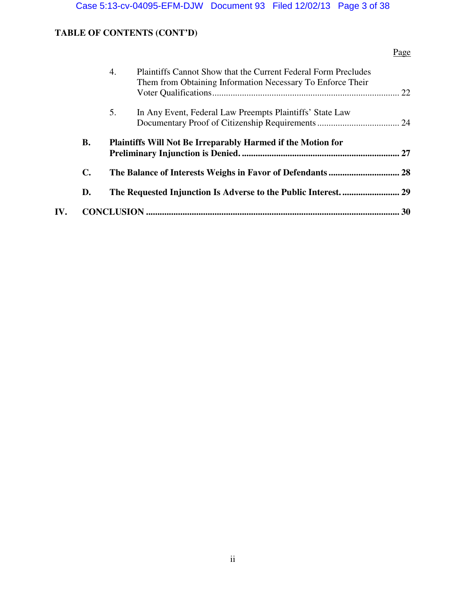# **TABLE OF CONTENTS (CONT'D)**

## Page

|     |                | <b>Plaintiffs Cannot Show that the Current Federal Form Precludes</b><br>4.<br>Them from Obtaining Information Necessary To Enforce Their |    |
|-----|----------------|-------------------------------------------------------------------------------------------------------------------------------------------|----|
|     |                | 5.<br>In Any Event, Federal Law Preempts Plaintiffs' State Law                                                                            |    |
|     | В.             | <b>Plaintiffs Will Not Be Irreparably Harmed if the Motion for</b>                                                                        |    |
|     | $\mathbf{C}$ . |                                                                                                                                           |    |
|     | D.             |                                                                                                                                           |    |
| IV. |                |                                                                                                                                           | 30 |
|     |                |                                                                                                                                           |    |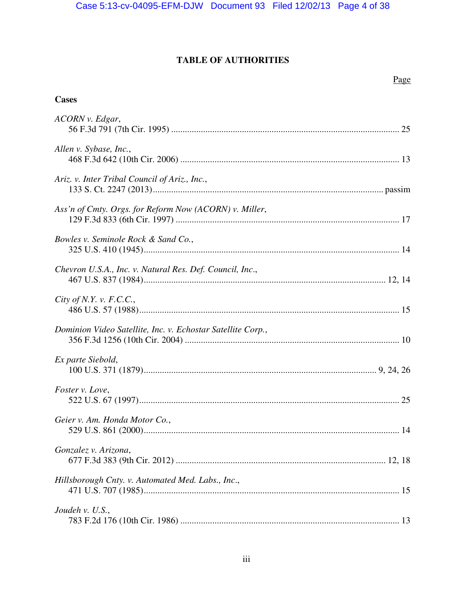# TABLE OF AUTHORITIES

## Page

## **Cases**

| ACORN v. Edgar,                                             |
|-------------------------------------------------------------|
| Allen v. Sybase, Inc.,                                      |
| Ariz. v. Inter Tribal Council of Ariz., Inc.,               |
| Ass'n of Cmty. Orgs. for Reform Now (ACORN) v. Miller,      |
| Bowles v. Seminole Rock & Sand Co.,                         |
| Chevron U.S.A., Inc. v. Natural Res. Def. Council, Inc.,    |
| City of N.Y. v. $F.C.C.,$                                   |
| Dominion Video Satellite, Inc. v. Echostar Satellite Corp., |
| Ex parte Siebold,                                           |
| Foster v. Love,                                             |
| Geier v. Am. Honda Motor Co.,                               |
| Gonzalez v. Arizona,                                        |
| Hillsborough Cnty. v. Automated Med. Labs., Inc.,           |
| Joudeh v. U.S.,                                             |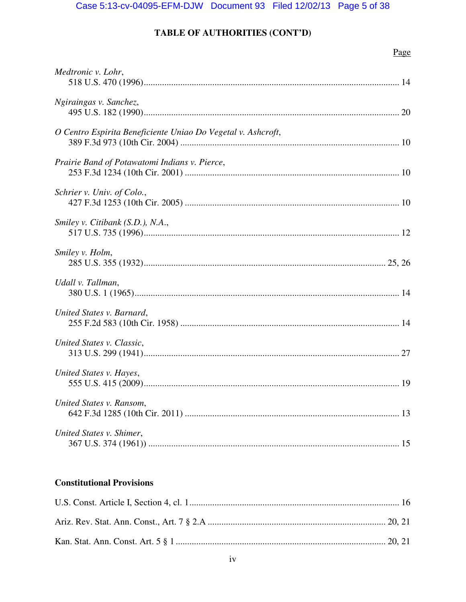# TABLE OF AUTHORITIES (CONT'D)

## Page

| Medtronic v. Lohr,                                           |
|--------------------------------------------------------------|
| Ngiraingas v. Sanchez,                                       |
| O Centro Espirita Beneficiente Uniao Do Vegetal v. Ashcroft, |
| Prairie Band of Potawatomi Indians v. Pierce,                |
| Schrier v. Univ. of Colo.,                                   |
| Smiley v. Citibank (S.D.), N.A.,                             |
| Smiley v. Holm,                                              |
| Udall v. Tallman,                                            |
| United States v. Barnard,                                    |
| United States v. Classic,                                    |
| United States v. Hayes,                                      |
| United States v. Ransom,                                     |
| United States v. Shimer,                                     |

# **Constitutional Provisions**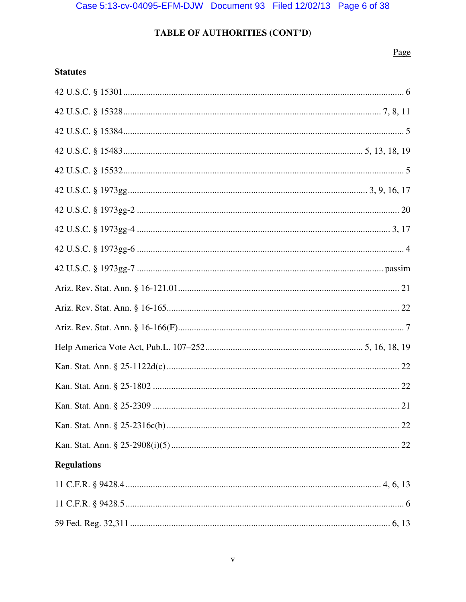## TABLE OF AUTHORITIES (CONT'D)

## Page

| <b>Regulations</b> |  |
|--------------------|--|
|                    |  |
|                    |  |
|                    |  |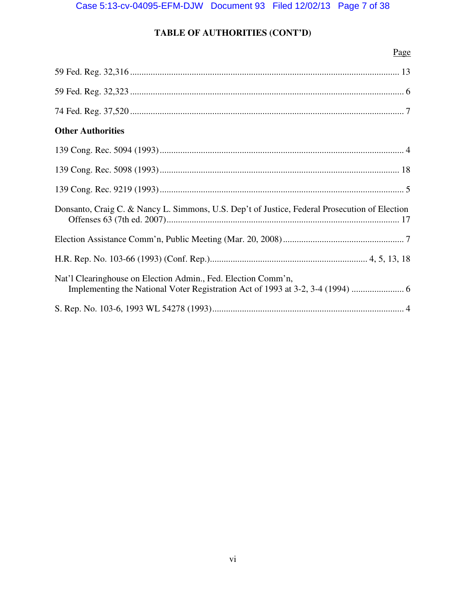# **TABLE OF AUTHORITIES (CONT'D)**

|                                                                                               | Page |
|-----------------------------------------------------------------------------------------------|------|
|                                                                                               |      |
|                                                                                               |      |
|                                                                                               |      |
| <b>Other Authorities</b>                                                                      |      |
|                                                                                               |      |
|                                                                                               |      |
|                                                                                               |      |
| Donsanto, Craig C. & Nancy L. Simmons, U.S. Dep't of Justice, Federal Prosecution of Election |      |
|                                                                                               |      |
|                                                                                               |      |
| Nat'l Clearinghouse on Election Admin., Fed. Election Comm'n,                                 |      |
|                                                                                               |      |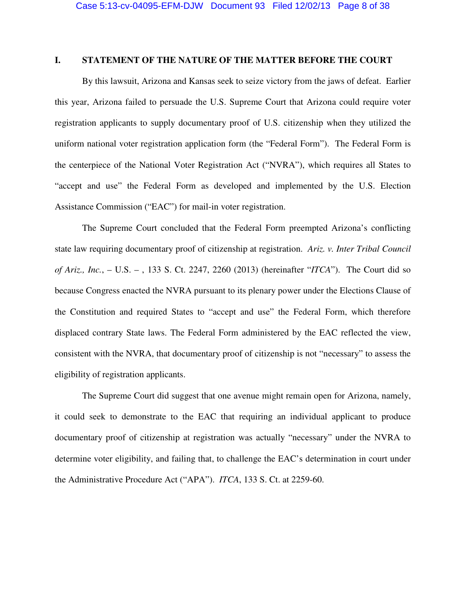### **I. STATEMENT OF THE NATURE OF THE MATTER BEFORE THE COURT**

By this lawsuit, Arizona and Kansas seek to seize victory from the jaws of defeat. Earlier this year, Arizona failed to persuade the U.S. Supreme Court that Arizona could require voter registration applicants to supply documentary proof of U.S. citizenship when they utilized the uniform national voter registration application form (the "Federal Form"). The Federal Form is the centerpiece of the National Voter Registration Act ("NVRA"), which requires all States to "accept and use" the Federal Form as developed and implemented by the U.S. Election Assistance Commission ("EAC") for mail-in voter registration.

The Supreme Court concluded that the Federal Form preempted Arizona's conflicting state law requiring documentary proof of citizenship at registration. *Ariz. v. Inter Tribal Council of Ariz., Inc.*, – U.S. – , 133 S. Ct. 2247, 2260 (2013) (hereinafter "*ITCA*"). The Court did so because Congress enacted the NVRA pursuant to its plenary power under the Elections Clause of the Constitution and required States to "accept and use" the Federal Form, which therefore displaced contrary State laws. The Federal Form administered by the EAC reflected the view, consistent with the NVRA, that documentary proof of citizenship is not "necessary" to assess the eligibility of registration applicants.

The Supreme Court did suggest that one avenue might remain open for Arizona, namely, it could seek to demonstrate to the EAC that requiring an individual applicant to produce documentary proof of citizenship at registration was actually "necessary" under the NVRA to determine voter eligibility, and failing that, to challenge the EAC's determination in court under the Administrative Procedure Act ("APA"). *ITCA*, 133 S. Ct. at 2259-60.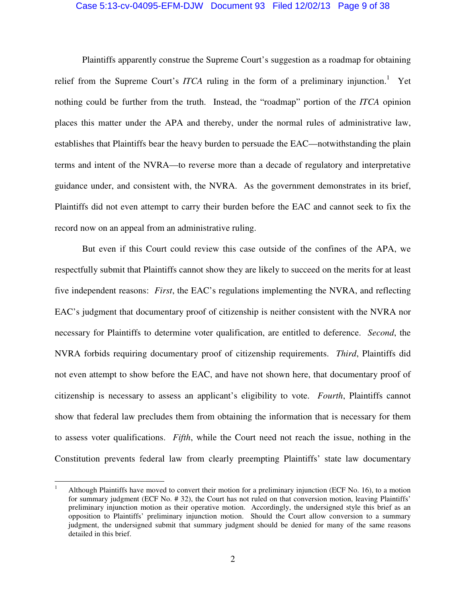#### Case 5:13-cv-04095-EFM-DJW Document 93 Filed 12/02/13 Page 9 of 38

 Plaintiffs apparently construe the Supreme Court's suggestion as a roadmap for obtaining relief from the Supreme Court's *ITCA* ruling in the form of a preliminary injunction.<sup>1</sup> Yet nothing could be further from the truth. Instead, the "roadmap" portion of the *ITCA* opinion places this matter under the APA and thereby, under the normal rules of administrative law, establishes that Plaintiffs bear the heavy burden to persuade the EAC—notwithstanding the plain terms and intent of the NVRA—to reverse more than a decade of regulatory and interpretative guidance under, and consistent with, the NVRA. As the government demonstrates in its brief, Plaintiffs did not even attempt to carry their burden before the EAC and cannot seek to fix the record now on an appeal from an administrative ruling.

But even if this Court could review this case outside of the confines of the APA, we respectfully submit that Plaintiffs cannot show they are likely to succeed on the merits for at least five independent reasons: *First*, the EAC's regulations implementing the NVRA, and reflecting EAC's judgment that documentary proof of citizenship is neither consistent with the NVRA nor necessary for Plaintiffs to determine voter qualification, are entitled to deference. *Second*, the NVRA forbids requiring documentary proof of citizenship requirements. *Third*, Plaintiffs did not even attempt to show before the EAC, and have not shown here, that documentary proof of citizenship is necessary to assess an applicant's eligibility to vote. *Fourth*, Plaintiffs cannot show that federal law precludes them from obtaining the information that is necessary for them to assess voter qualifications. *Fifth*, while the Court need not reach the issue, nothing in the Constitution prevents federal law from clearly preempting Plaintiffs' state law documentary

 $\overline{a}$ 

<sup>1</sup> Although Plaintiffs have moved to convert their motion for a preliminary injunction (ECF No. 16), to a motion for summary judgment (ECF No. # 32), the Court has not ruled on that conversion motion, leaving Plaintiffs' preliminary injunction motion as their operative motion. Accordingly, the undersigned style this brief as an opposition to Plaintiffs' preliminary injunction motion. Should the Court allow conversion to a summary judgment, the undersigned submit that summary judgment should be denied for many of the same reasons detailed in this brief.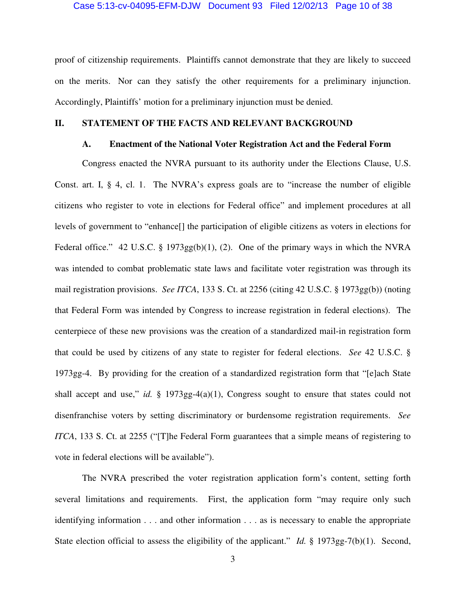#### Case 5:13-cv-04095-EFM-DJW Document 93 Filed 12/02/13 Page 10 of 38

proof of citizenship requirements. Plaintiffs cannot demonstrate that they are likely to succeed on the merits. Nor can they satisfy the other requirements for a preliminary injunction. Accordingly, Plaintiffs' motion for a preliminary injunction must be denied.

#### **II. STATEMENT OF THE FACTS AND RELEVANT BACKGROUND**

#### **A. Enactment of the National Voter Registration Act and the Federal Form**

Congress enacted the NVRA pursuant to its authority under the Elections Clause, U.S. Const. art. I, § 4, cl. 1. The NVRA's express goals are to "increase the number of eligible citizens who register to vote in elections for Federal office" and implement procedures at all levels of government to "enhance[] the participation of eligible citizens as voters in elections for Federal office." 42 U.S.C. § 1973gg(b)(1), (2). One of the primary ways in which the NVRA was intended to combat problematic state laws and facilitate voter registration was through its mail registration provisions. *See ITCA*, 133 S. Ct. at 2256 (citing 42 U.S.C. § 1973gg(b)) (noting that Federal Form was intended by Congress to increase registration in federal elections). The centerpiece of these new provisions was the creation of a standardized mail-in registration form that could be used by citizens of any state to register for federal elections. *See* 42 U.S.C. § 1973gg-4. By providing for the creation of a standardized registration form that "[e]ach State shall accept and use," *id.* § 1973gg-4(a)(1), Congress sought to ensure that states could not disenfranchise voters by setting discriminatory or burdensome registration requirements. *See ITCA*, 133 S. Ct. at 2255 ("[T]he Federal Form guarantees that a simple means of registering to vote in federal elections will be available").

The NVRA prescribed the voter registration application form's content, setting forth several limitations and requirements. First, the application form "may require only such identifying information . . . and other information . . . as is necessary to enable the appropriate State election official to assess the eligibility of the applicant." *Id.* § 1973gg-7(b)(1). Second,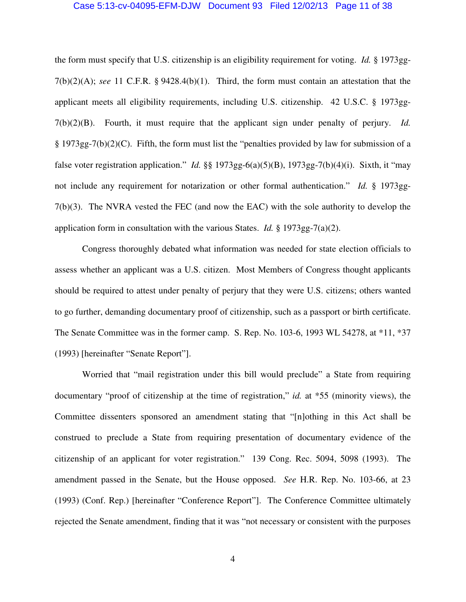#### Case 5:13-cv-04095-EFM-DJW Document 93 Filed 12/02/13 Page 11 of 38

the form must specify that U.S. citizenship is an eligibility requirement for voting. *Id.* § 1973gg-7(b)(2)(A); *see* 11 C.F.R. § 9428.4(b)(1). Third, the form must contain an attestation that the applicant meets all eligibility requirements, including U.S. citizenship. 42 U.S.C. § 1973gg-7(b)(2)(B). Fourth, it must require that the applicant sign under penalty of perjury. *Id.*  § 1973gg-7(b)(2)(C). Fifth, the form must list the "penalties provided by law for submission of a false voter registration application." *Id.* §§ 1973gg-6(a)(5)(B), 1973gg-7(b)(4)(i). Sixth, it "may not include any requirement for notarization or other formal authentication." *Id.* § 1973gg-7(b)(3). The NVRA vested the FEC (and now the EAC) with the sole authority to develop the application form in consultation with the various States. *Id.* § 1973gg-7(a)(2).

Congress thoroughly debated what information was needed for state election officials to assess whether an applicant was a U.S. citizen. Most Members of Congress thought applicants should be required to attest under penalty of perjury that they were U.S. citizens; others wanted to go further, demanding documentary proof of citizenship, such as a passport or birth certificate. The Senate Committee was in the former camp. S. Rep. No. 103-6, 1993 WL 54278, at \*11, \*37 (1993) [hereinafter "Senate Report"].

Worried that "mail registration under this bill would preclude" a State from requiring documentary "proof of citizenship at the time of registration," *id.* at \*55 (minority views), the Committee dissenters sponsored an amendment stating that "[n]othing in this Act shall be construed to preclude a State from requiring presentation of documentary evidence of the citizenship of an applicant for voter registration." 139 Cong. Rec. 5094, 5098 (1993). The amendment passed in the Senate, but the House opposed. *See* H.R. Rep. No. 103-66, at 23 (1993) (Conf. Rep.) [hereinafter "Conference Report"]. The Conference Committee ultimately rejected the Senate amendment, finding that it was "not necessary or consistent with the purposes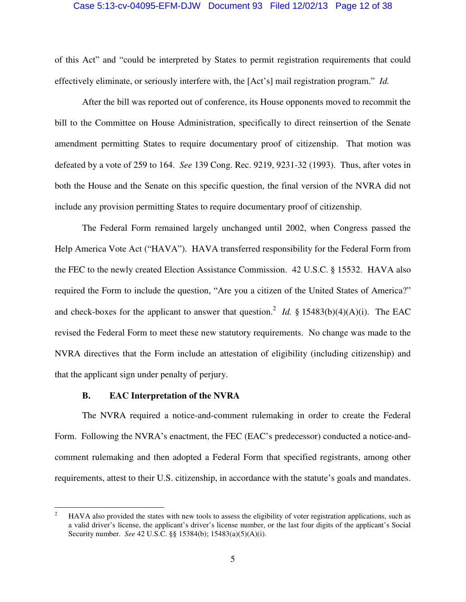#### Case 5:13-cv-04095-EFM-DJW Document 93 Filed 12/02/13 Page 12 of 38

of this Act" and "could be interpreted by States to permit registration requirements that could effectively eliminate, or seriously interfere with, the [Act's] mail registration program." *Id.*

After the bill was reported out of conference, its House opponents moved to recommit the bill to the Committee on House Administration, specifically to direct reinsertion of the Senate amendment permitting States to require documentary proof of citizenship. That motion was defeated by a vote of 259 to 164. *See* 139 Cong. Rec. 9219, 9231-32 (1993). Thus, after votes in both the House and the Senate on this specific question, the final version of the NVRA did not include any provision permitting States to require documentary proof of citizenship.

The Federal Form remained largely unchanged until 2002, when Congress passed the Help America Vote Act ("HAVA"). HAVA transferred responsibility for the Federal Form from the FEC to the newly created Election Assistance Commission. 42 U.S.C. § 15532. HAVA also required the Form to include the question, "Are you a citizen of the United States of America?" and check-boxes for the applicant to answer that question.<sup>2</sup> *Id.* § 15483(b)(4)(A)(i). The EAC revised the Federal Form to meet these new statutory requirements. No change was made to the NVRA directives that the Form include an attestation of eligibility (including citizenship) and that the applicant sign under penalty of perjury.

#### **B. EAC Interpretation of the NVRA**

 $\overline{a}$ 

The NVRA required a notice-and-comment rulemaking in order to create the Federal Form. Following the NVRA's enactment, the FEC (EAC's predecessor) conducted a notice-andcomment rulemaking and then adopted a Federal Form that specified registrants, among other requirements, attest to their U.S. citizenship, in accordance with the statute's goals and mandates.

<sup>2</sup> HAVA also provided the states with new tools to assess the eligibility of voter registration applications, such as a valid driver's license, the applicant's driver's license number, or the last four digits of the applicant's Social Security number. *See* 42 U.S.C. §§ 15384(b); 15483(a)(5)(A)(i).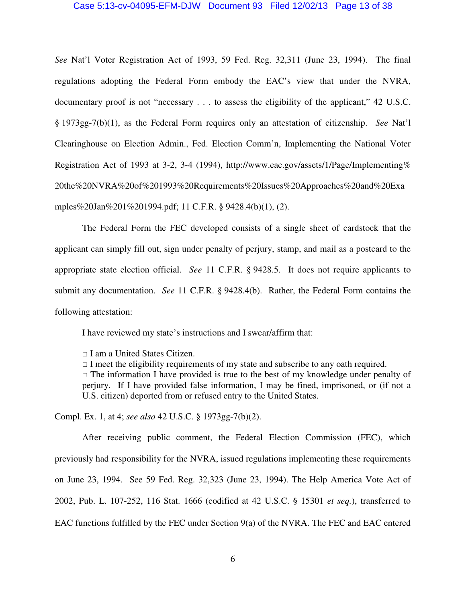#### Case 5:13-cv-04095-EFM-DJW Document 93 Filed 12/02/13 Page 13 of 38

*See* Nat'l Voter Registration Act of 1993, 59 Fed. Reg. 32,311 (June 23, 1994). The final regulations adopting the Federal Form embody the EAC's view that under the NVRA, documentary proof is not "necessary . . . to assess the eligibility of the applicant," 42 U.S.C. § 1973gg-7(b)(1), as the Federal Form requires only an attestation of citizenship. *See* Nat'l Clearinghouse on Election Admin., Fed. Election Comm'n, Implementing the National Voter Registration Act of 1993 at 3-2, 3-4 (1994), http://www.eac.gov/assets/1/Page/Implementing% 20the%20NVRA%20of%201993%20Requirements%20Issues%20Approaches%20and%20Exa mples%20Jan%201%201994.pdf; 11 C.F.R. § 9428.4(b)(1), (2).

The Federal Form the FEC developed consists of a single sheet of cardstock that the applicant can simply fill out, sign under penalty of perjury, stamp, and mail as a postcard to the appropriate state election official. *See* 11 C.F.R. § 9428.5. It does not require applicants to submit any documentation. *See* 11 C.F.R. § 9428.4(b). Rather, the Federal Form contains the following attestation:

I have reviewed my state's instructions and I swear/affirm that:

□ I am a United States Citizen.

 $\Box$  I meet the eligibility requirements of my state and subscribe to any oath required.  $\Box$  The information I have provided is true to the best of my knowledge under penalty of perjury. If I have provided false information, I may be fined, imprisoned, or (if not a U.S. citizen) deported from or refused entry to the United States.

Compl. Ex. 1, at 4; *see also* 42 U.S.C. § 1973gg-7(b)(2).

 After receiving public comment, the Federal Election Commission (FEC), which previously had responsibility for the NVRA, issued regulations implementing these requirements on June 23, 1994. See 59 Fed. Reg. 32,323 (June 23, 1994). The Help America Vote Act of 2002, Pub. L. 107-252, 116 Stat. 1666 (codified at 42 U.S.C. § 15301 *et seq.*), transferred to EAC functions fulfilled by the FEC under Section 9(a) of the NVRA. The FEC and EAC entered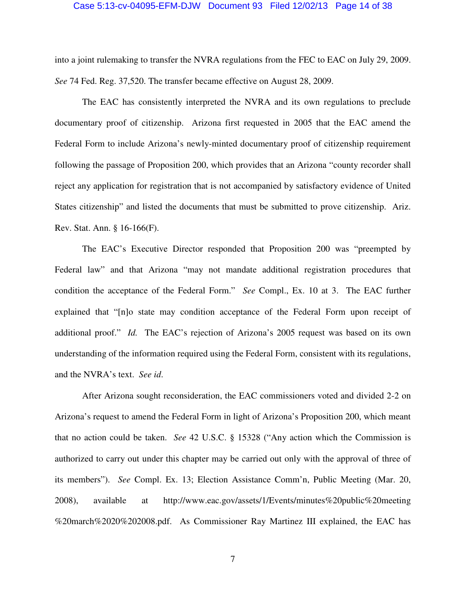#### Case 5:13-cv-04095-EFM-DJW Document 93 Filed 12/02/13 Page 14 of 38

into a joint rulemaking to transfer the NVRA regulations from the FEC to EAC on July 29, 2009. *See* 74 Fed. Reg. 37,520. The transfer became effective on August 28, 2009.

The EAC has consistently interpreted the NVRA and its own regulations to preclude documentary proof of citizenship. Arizona first requested in 2005 that the EAC amend the Federal Form to include Arizona's newly-minted documentary proof of citizenship requirement following the passage of Proposition 200, which provides that an Arizona "county recorder shall reject any application for registration that is not accompanied by satisfactory evidence of United States citizenship" and listed the documents that must be submitted to prove citizenship. Ariz. Rev. Stat. Ann. § 16-166(F).

The EAC's Executive Director responded that Proposition 200 was "preempted by Federal law" and that Arizona "may not mandate additional registration procedures that condition the acceptance of the Federal Form." *See* Compl., Ex. 10 at 3. The EAC further explained that "[n]o state may condition acceptance of the Federal Form upon receipt of additional proof." *Id.* The EAC's rejection of Arizona's 2005 request was based on its own understanding of the information required using the Federal Form, consistent with its regulations, and the NVRA's text. *See id*.

After Arizona sought reconsideration, the EAC commissioners voted and divided 2-2 on Arizona's request to amend the Federal Form in light of Arizona's Proposition 200, which meant that no action could be taken. *See* 42 U.S.C. § 15328 ("Any action which the Commission is authorized to carry out under this chapter may be carried out only with the approval of three of its members"). *See* Compl. Ex. 13; Election Assistance Comm'n, Public Meeting (Mar. 20, 2008), available at http://www.eac.gov/assets/1/Events/minutes%20public%20meeting %20march%2020%202008.pdf. As Commissioner Ray Martinez III explained, the EAC has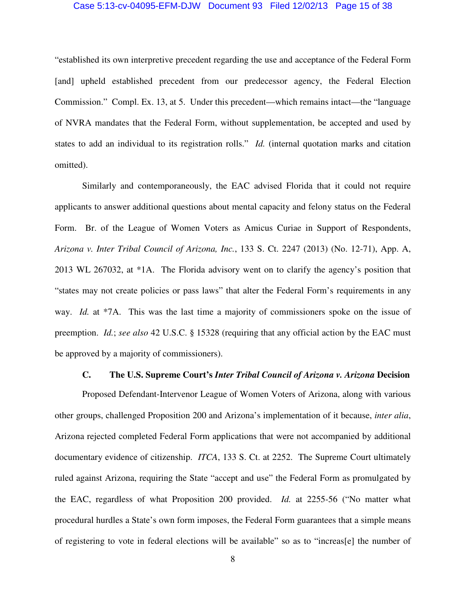#### Case 5:13-cv-04095-EFM-DJW Document 93 Filed 12/02/13 Page 15 of 38

"established its own interpretive precedent regarding the use and acceptance of the Federal Form [and] upheld established precedent from our predecessor agency, the Federal Election Commission." Compl. Ex. 13, at 5. Under this precedent—which remains intact—the "language of NVRA mandates that the Federal Form, without supplementation, be accepted and used by states to add an individual to its registration rolls." *Id.* (internal quotation marks and citation omitted).

Similarly and contemporaneously, the EAC advised Florida that it could not require applicants to answer additional questions about mental capacity and felony status on the Federal Form. Br. of the League of Women Voters as Amicus Curiae in Support of Respondents, *Arizona v. Inter Tribal Council of Arizona, Inc.*, 133 S. Ct. 2247 (2013) (No. 12-71), App. A, 2013 WL 267032, at \*1A. The Florida advisory went on to clarify the agency's position that "states may not create policies or pass laws" that alter the Federal Form's requirements in any way. *Id.* at \*7A. This was the last time a majority of commissioners spoke on the issue of preemption. *Id.*; *see also* 42 U.S.C. § 15328 (requiring that any official action by the EAC must be approved by a majority of commissioners).

#### **C. The U.S. Supreme Court's** *Inter Tribal Council of Arizona v. Arizona* **Decision**

Proposed Defendant-Intervenor League of Women Voters of Arizona, along with various other groups, challenged Proposition 200 and Arizona's implementation of it because, *inter alia*, Arizona rejected completed Federal Form applications that were not accompanied by additional documentary evidence of citizenship. *ITCA*, 133 S. Ct. at 2252. The Supreme Court ultimately ruled against Arizona, requiring the State "accept and use" the Federal Form as promulgated by the EAC, regardless of what Proposition 200 provided. *Id.* at 2255-56 ("No matter what procedural hurdles a State's own form imposes, the Federal Form guarantees that a simple means of registering to vote in federal elections will be available" so as to "increas[e] the number of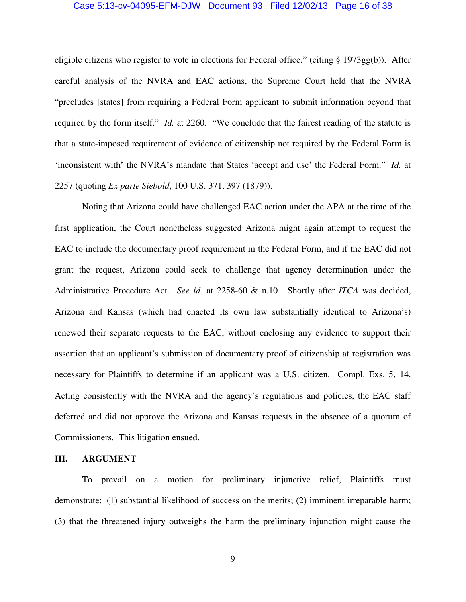#### Case 5:13-cv-04095-EFM-DJW Document 93 Filed 12/02/13 Page 16 of 38

eligible citizens who register to vote in elections for Federal office." (citing § 1973gg(b)). After careful analysis of the NVRA and EAC actions, the Supreme Court held that the NVRA "precludes [states] from requiring a Federal Form applicant to submit information beyond that required by the form itself." *Id.* at 2260. "We conclude that the fairest reading of the statute is that a state-imposed requirement of evidence of citizenship not required by the Federal Form is 'inconsistent with' the NVRA's mandate that States 'accept and use' the Federal Form." *Id.* at 2257 (quoting *Ex parte Siebold*, 100 U.S. 371, 397 (1879)).

Noting that Arizona could have challenged EAC action under the APA at the time of the first application, the Court nonetheless suggested Arizona might again attempt to request the EAC to include the documentary proof requirement in the Federal Form, and if the EAC did not grant the request, Arizona could seek to challenge that agency determination under the Administrative Procedure Act. *See id.* at 2258-60 & n.10. Shortly after *ITCA* was decided, Arizona and Kansas (which had enacted its own law substantially identical to Arizona's) renewed their separate requests to the EAC, without enclosing any evidence to support their assertion that an applicant's submission of documentary proof of citizenship at registration was necessary for Plaintiffs to determine if an applicant was a U.S. citizen. Compl. Exs. 5, 14. Acting consistently with the NVRA and the agency's regulations and policies, the EAC staff deferred and did not approve the Arizona and Kansas requests in the absence of a quorum of Commissioners. This litigation ensued.

#### **III. ARGUMENT**

To prevail on a motion for preliminary injunctive relief, Plaintiffs must demonstrate: (1) substantial likelihood of success on the merits; (2) imminent irreparable harm; (3) that the threatened injury outweighs the harm the preliminary injunction might cause the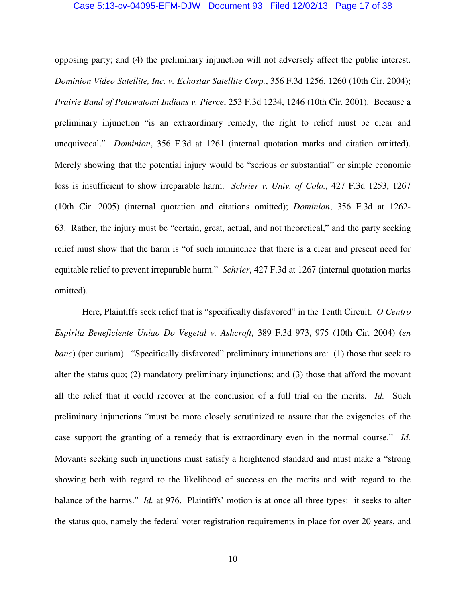#### Case 5:13-cv-04095-EFM-DJW Document 93 Filed 12/02/13 Page 17 of 38

opposing party; and (4) the preliminary injunction will not adversely affect the public interest. *Dominion Video Satellite, Inc. v. Echostar Satellite Corp.*, 356 F.3d 1256, 1260 (10th Cir. 2004); *Prairie Band of Potawatomi Indians v. Pierce*, 253 F.3d 1234, 1246 (10th Cir. 2001). Because a preliminary injunction "is an extraordinary remedy, the right to relief must be clear and unequivocal." *Dominion*, 356 F.3d at 1261 (internal quotation marks and citation omitted). Merely showing that the potential injury would be "serious or substantial" or simple economic loss is insufficient to show irreparable harm. *Schrier v. Univ. of Colo.*, 427 F.3d 1253, 1267 (10th Cir. 2005) (internal quotation and citations omitted); *Dominion*, 356 F.3d at 1262- 63. Rather, the injury must be "certain, great, actual, and not theoretical," and the party seeking relief must show that the harm is "of such imminence that there is a clear and present need for equitable relief to prevent irreparable harm." *Schrier*, 427 F.3d at 1267 (internal quotation marks omitted).

Here, Plaintiffs seek relief that is "specifically disfavored" in the Tenth Circuit. *O Centro Espirita Beneficiente Uniao Do Vegetal v. Ashcroft*, 389 F.3d 973, 975 (10th Cir. 2004) (*en banc*) (per curiam). "Specifically disfavored" preliminary injunctions are: (1) those that seek to alter the status quo; (2) mandatory preliminary injunctions; and (3) those that afford the movant all the relief that it could recover at the conclusion of a full trial on the merits. *Id.* Such preliminary injunctions "must be more closely scrutinized to assure that the exigencies of the case support the granting of a remedy that is extraordinary even in the normal course." *Id.*  Movants seeking such injunctions must satisfy a heightened standard and must make a "strong showing both with regard to the likelihood of success on the merits and with regard to the balance of the harms." *Id.* at 976. Plaintiffs' motion is at once all three types: it seeks to alter the status quo, namely the federal voter registration requirements in place for over 20 years, and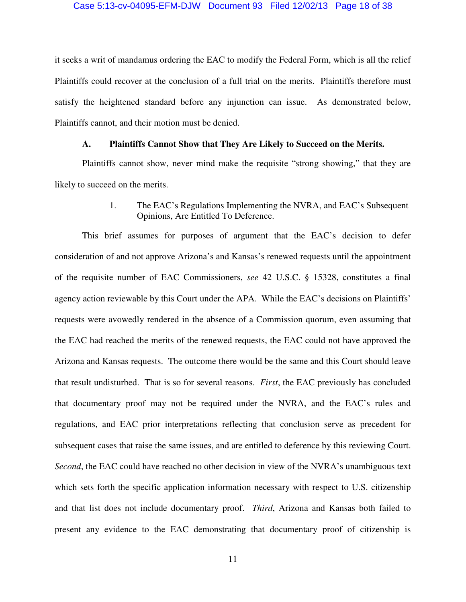#### Case 5:13-cv-04095-EFM-DJW Document 93 Filed 12/02/13 Page 18 of 38

it seeks a writ of mandamus ordering the EAC to modify the Federal Form, which is all the relief Plaintiffs could recover at the conclusion of a full trial on the merits. Plaintiffs therefore must satisfy the heightened standard before any injunction can issue. As demonstrated below, Plaintiffs cannot, and their motion must be denied.

#### **A. Plaintiffs Cannot Show that They Are Likely to Succeed on the Merits.**

Plaintiffs cannot show, never mind make the requisite "strong showing," that they are likely to succeed on the merits.

> 1. The EAC's Regulations Implementing the NVRA, and EAC's Subsequent Opinions, Are Entitled To Deference.

This brief assumes for purposes of argument that the EAC's decision to defer consideration of and not approve Arizona's and Kansas's renewed requests until the appointment of the requisite number of EAC Commissioners, *see* 42 U.S.C. § 15328, constitutes a final agency action reviewable by this Court under the APA. While the EAC's decisions on Plaintiffs' requests were avowedly rendered in the absence of a Commission quorum, even assuming that the EAC had reached the merits of the renewed requests, the EAC could not have approved the Arizona and Kansas requests. The outcome there would be the same and this Court should leave that result undisturbed. That is so for several reasons. *First*, the EAC previously has concluded that documentary proof may not be required under the NVRA, and the EAC's rules and regulations, and EAC prior interpretations reflecting that conclusion serve as precedent for subsequent cases that raise the same issues, and are entitled to deference by this reviewing Court. *Second*, the EAC could have reached no other decision in view of the NVRA's unambiguous text which sets forth the specific application information necessary with respect to U.S. citizenship and that list does not include documentary proof. *Third*, Arizona and Kansas both failed to present any evidence to the EAC demonstrating that documentary proof of citizenship is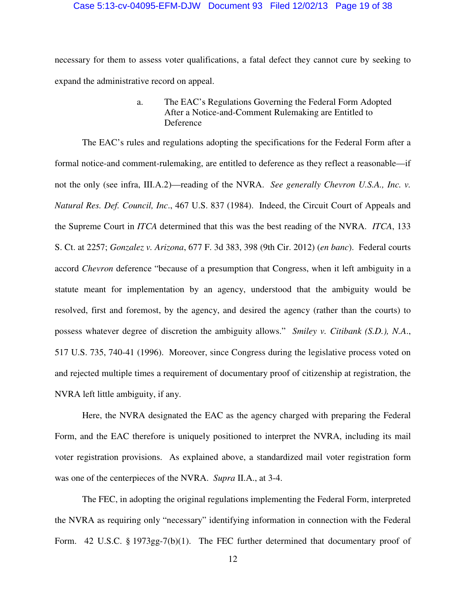#### Case 5:13-cv-04095-EFM-DJW Document 93 Filed 12/02/13 Page 19 of 38

necessary for them to assess voter qualifications, a fatal defect they cannot cure by seeking to expand the administrative record on appeal.

### a. The EAC's Regulations Governing the Federal Form Adopted After a Notice-and-Comment Rulemaking are Entitled to Deference

The EAC's rules and regulations adopting the specifications for the Federal Form after a formal notice-and comment-rulemaking, are entitled to deference as they reflect a reasonable—if not the only (see infra, III.A.2)—reading of the NVRA. *See generally Chevron U.S.A., Inc. v. Natural Res. Def. Council, Inc*., 467 U.S. 837 (1984). Indeed, the Circuit Court of Appeals and the Supreme Court in *ITCA* determined that this was the best reading of the NVRA. *ITCA*, 133 S. Ct. at 2257; *Gonzalez v. Arizona*, 677 F. 3d 383, 398 (9th Cir. 2012) (*en banc*). Federal courts accord *Chevron* deference "because of a presumption that Congress, when it left ambiguity in a statute meant for implementation by an agency, understood that the ambiguity would be resolved, first and foremost, by the agency, and desired the agency (rather than the courts) to possess whatever degree of discretion the ambiguity allows." *Smiley v. Citibank (S.D.), N.A*., 517 U.S. 735, 740-41 (1996). Moreover, since Congress during the legislative process voted on and rejected multiple times a requirement of documentary proof of citizenship at registration, the NVRA left little ambiguity, if any.

Here, the NVRA designated the EAC as the agency charged with preparing the Federal Form, and the EAC therefore is uniquely positioned to interpret the NVRA, including its mail voter registration provisions. As explained above, a standardized mail voter registration form was one of the centerpieces of the NVRA. *Supra* II.A., at 3-4.

The FEC, in adopting the original regulations implementing the Federal Form, interpreted the NVRA as requiring only "necessary" identifying information in connection with the Federal Form. 42 U.S.C. § 1973gg-7(b)(1). The FEC further determined that documentary proof of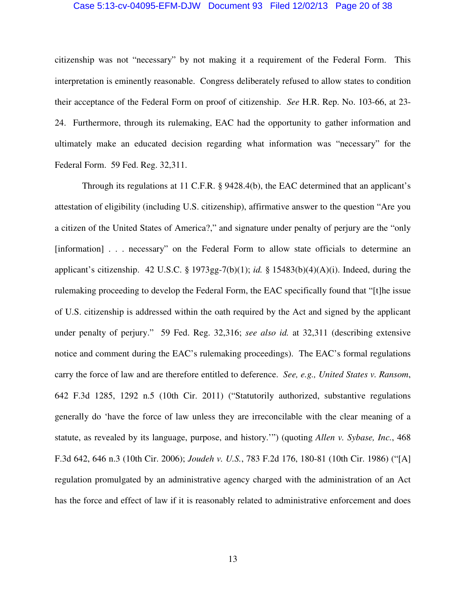#### Case 5:13-cv-04095-EFM-DJW Document 93 Filed 12/02/13 Page 20 of 38

citizenship was not "necessary" by not making it a requirement of the Federal Form. This interpretation is eminently reasonable. Congress deliberately refused to allow states to condition their acceptance of the Federal Form on proof of citizenship. *See* H.R. Rep. No. 103-66, at 23- 24. Furthermore, through its rulemaking, EAC had the opportunity to gather information and ultimately make an educated decision regarding what information was "necessary" for the Federal Form. 59 Fed. Reg. 32,311.

Through its regulations at 11 C.F.R. § 9428.4(b), the EAC determined that an applicant's attestation of eligibility (including U.S. citizenship), affirmative answer to the question "Are you a citizen of the United States of America?," and signature under penalty of perjury are the "only [information] . . . necessary" on the Federal Form to allow state officials to determine an applicant's citizenship. 42 U.S.C. § 1973gg-7(b)(1); *id.* § 15483(b)(4)(A)(i). Indeed, during the rulemaking proceeding to develop the Federal Form, the EAC specifically found that "[t]he issue of U.S. citizenship is addressed within the oath required by the Act and signed by the applicant under penalty of perjury." 59 Fed. Reg. 32,316; *see also id.* at 32,311 (describing extensive notice and comment during the EAC's rulemaking proceedings). The EAC's formal regulations carry the force of law and are therefore entitled to deference. *See, e.g., United States v. Ransom*, 642 F.3d 1285, 1292 n.5 (10th Cir. 2011) ("Statutorily authorized, substantive regulations generally do 'have the force of law unless they are irreconcilable with the clear meaning of a statute, as revealed by its language, purpose, and history.'") (quoting *Allen v. Sybase, Inc.*, 468 F.3d 642, 646 n.3 (10th Cir. 2006); *Joudeh v. U.S.*, 783 F.2d 176, 180-81 (10th Cir. 1986) ("[A] regulation promulgated by an administrative agency charged with the administration of an Act has the force and effect of law if it is reasonably related to administrative enforcement and does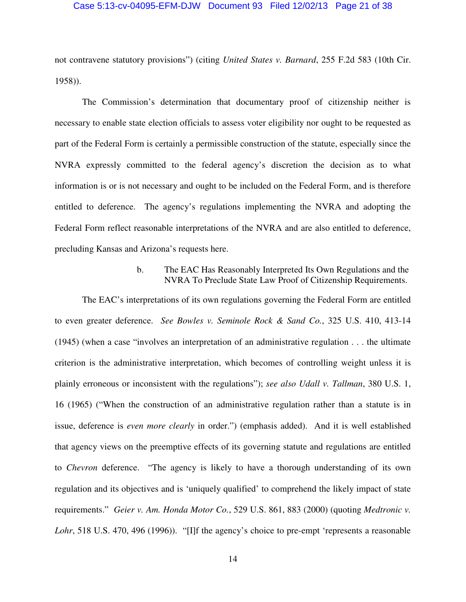#### Case 5:13-cv-04095-EFM-DJW Document 93 Filed 12/02/13 Page 21 of 38

not contravene statutory provisions") (citing *United States v. Barnard*, 255 F.2d 583 (10th Cir. 1958)).

The Commission's determination that documentary proof of citizenship neither is necessary to enable state election officials to assess voter eligibility nor ought to be requested as part of the Federal Form is certainly a permissible construction of the statute, especially since the NVRA expressly committed to the federal agency's discretion the decision as to what information is or is not necessary and ought to be included on the Federal Form, and is therefore entitled to deference. The agency's regulations implementing the NVRA and adopting the Federal Form reflect reasonable interpretations of the NVRA and are also entitled to deference, precluding Kansas and Arizona's requests here.

### b. The EAC Has Reasonably Interpreted Its Own Regulations and the NVRA To Preclude State Law Proof of Citizenship Requirements.

The EAC's interpretations of its own regulations governing the Federal Form are entitled to even greater deference. *See Bowles v. Seminole Rock & Sand Co.*, 325 U.S. 410, 413-14 (1945) (when a case "involves an interpretation of an administrative regulation . . . the ultimate criterion is the administrative interpretation, which becomes of controlling weight unless it is plainly erroneous or inconsistent with the regulations"); *see also Udall v. Tallman*, 380 U.S. 1, 16 (1965) ("When the construction of an administrative regulation rather than a statute is in issue, deference is *even more clearly* in order.") (emphasis added). And it is well established that agency views on the preemptive effects of its governing statute and regulations are entitled to *Chevron* deference. "The agency is likely to have a thorough understanding of its own regulation and its objectives and is 'uniquely qualified' to comprehend the likely impact of state requirements." *Geier v. Am. Honda Motor Co.*, 529 U.S. 861, 883 (2000) (quoting *Medtronic v.*  Lohr, 518 U.S. 470, 496 (1996)). "[I]f the agency's choice to pre-empt 'represents a reasonable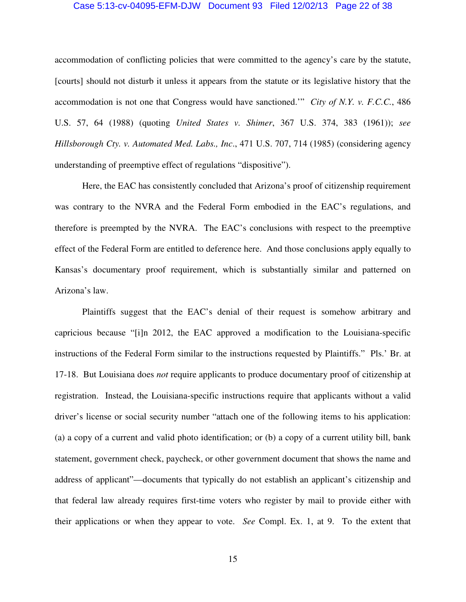#### Case 5:13-cv-04095-EFM-DJW Document 93 Filed 12/02/13 Page 22 of 38

accommodation of conflicting policies that were committed to the agency's care by the statute, [courts] should not disturb it unless it appears from the statute or its legislative history that the accommodation is not one that Congress would have sanctioned.'" *City of N.Y. v. F.C.C.*, 486 U.S. 57, 64 (1988) (quoting *United States v. Shimer*, 367 U.S. 374, 383 (1961)); *see Hillsborough Cty. v. Automated Med. Labs., Inc*., 471 U.S. 707, 714 (1985) (considering agency understanding of preemptive effect of regulations "dispositive").

Here, the EAC has consistently concluded that Arizona's proof of citizenship requirement was contrary to the NVRA and the Federal Form embodied in the EAC's regulations, and therefore is preempted by the NVRA. The EAC's conclusions with respect to the preemptive effect of the Federal Form are entitled to deference here. And those conclusions apply equally to Kansas's documentary proof requirement, which is substantially similar and patterned on Arizona's law.

Plaintiffs suggest that the EAC's denial of their request is somehow arbitrary and capricious because "[i]n 2012, the EAC approved a modification to the Louisiana-specific instructions of the Federal Form similar to the instructions requested by Plaintiffs." Pls.' Br. at 17-18. But Louisiana does *not* require applicants to produce documentary proof of citizenship at registration. Instead, the Louisiana-specific instructions require that applicants without a valid driver's license or social security number "attach one of the following items to his application: (a) a copy of a current and valid photo identification; or (b) a copy of a current utility bill, bank statement, government check, paycheck, or other government document that shows the name and address of applicant"—documents that typically do not establish an applicant's citizenship and that federal law already requires first-time voters who register by mail to provide either with their applications or when they appear to vote. *See* Compl. Ex. 1, at 9. To the extent that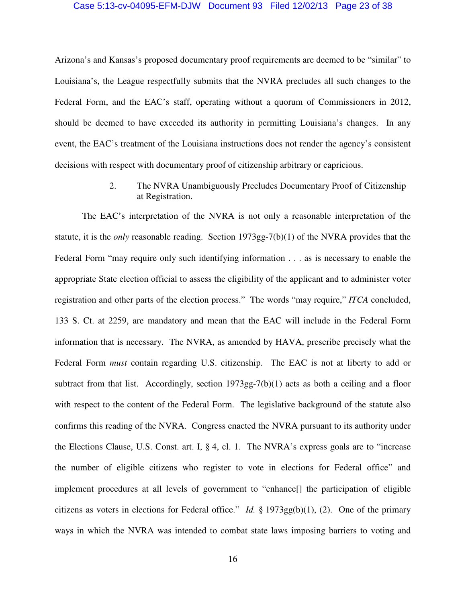#### Case 5:13-cv-04095-EFM-DJW Document 93 Filed 12/02/13 Page 23 of 38

Arizona's and Kansas's proposed documentary proof requirements are deemed to be "similar" to Louisiana's, the League respectfully submits that the NVRA precludes all such changes to the Federal Form, and the EAC's staff, operating without a quorum of Commissioners in 2012, should be deemed to have exceeded its authority in permitting Louisiana's changes. In any event, the EAC's treatment of the Louisiana instructions does not render the agency's consistent decisions with respect with documentary proof of citizenship arbitrary or capricious.

### 2. The NVRA Unambiguously Precludes Documentary Proof of Citizenship at Registration.

The EAC's interpretation of the NVRA is not only a reasonable interpretation of the statute, it is the *only* reasonable reading. Section 1973gg-7(b)(1) of the NVRA provides that the Federal Form "may require only such identifying information . . . as is necessary to enable the appropriate State election official to assess the eligibility of the applicant and to administer voter registration and other parts of the election process." The words "may require," *ITCA* concluded, 133 S. Ct. at 2259, are mandatory and mean that the EAC will include in the Federal Form information that is necessary. The NVRA, as amended by HAVA, prescribe precisely what the Federal Form *must* contain regarding U.S. citizenship. The EAC is not at liberty to add or subtract from that list. Accordingly, section  $1973gg-7(b)(1)$  acts as both a ceiling and a floor with respect to the content of the Federal Form. The legislative background of the statute also confirms this reading of the NVRA. Congress enacted the NVRA pursuant to its authority under the Elections Clause, U.S. Const. art. I, § 4, cl. 1. The NVRA's express goals are to "increase the number of eligible citizens who register to vote in elections for Federal office" and implement procedures at all levels of government to "enhance[] the participation of eligible citizens as voters in elections for Federal office." *Id.* § 1973gg(b)(1), (2). One of the primary ways in which the NVRA was intended to combat state laws imposing barriers to voting and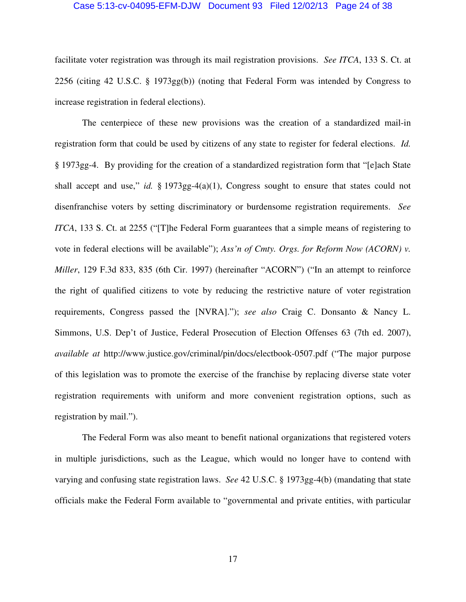#### Case 5:13-cv-04095-EFM-DJW Document 93 Filed 12/02/13 Page 24 of 38

facilitate voter registration was through its mail registration provisions. *See ITCA*, 133 S. Ct. at 2256 (citing 42 U.S.C. § 1973gg(b)) (noting that Federal Form was intended by Congress to increase registration in federal elections).

The centerpiece of these new provisions was the creation of a standardized mail-in registration form that could be used by citizens of any state to register for federal elections. *Id.* § 1973gg-4. By providing for the creation of a standardized registration form that "[e]ach State shall accept and use," *id.* § 1973gg-4(a)(1), Congress sought to ensure that states could not disenfranchise voters by setting discriminatory or burdensome registration requirements. *See ITCA*, 133 S. Ct. at 2255 ("[T]he Federal Form guarantees that a simple means of registering to vote in federal elections will be available"); *Ass'n of Cmty. Orgs. for Reform Now (ACORN) v. Miller*, 129 F.3d 833, 835 (6th Cir. 1997) (hereinafter "ACORN") ("In an attempt to reinforce the right of qualified citizens to vote by reducing the restrictive nature of voter registration requirements, Congress passed the [NVRA]."); *see also* Craig C. Donsanto & Nancy L. Simmons, U.S. Dep't of Justice, Federal Prosecution of Election Offenses 63 (7th ed. 2007), *available at* http://www.justice.gov/criminal/pin/docs/electbook-0507.pdf ("The major purpose of this legislation was to promote the exercise of the franchise by replacing diverse state voter registration requirements with uniform and more convenient registration options, such as registration by mail.").

The Federal Form was also meant to benefit national organizations that registered voters in multiple jurisdictions, such as the League, which would no longer have to contend with varying and confusing state registration laws. *See* 42 U.S.C. § 1973gg-4(b) (mandating that state officials make the Federal Form available to "governmental and private entities, with particular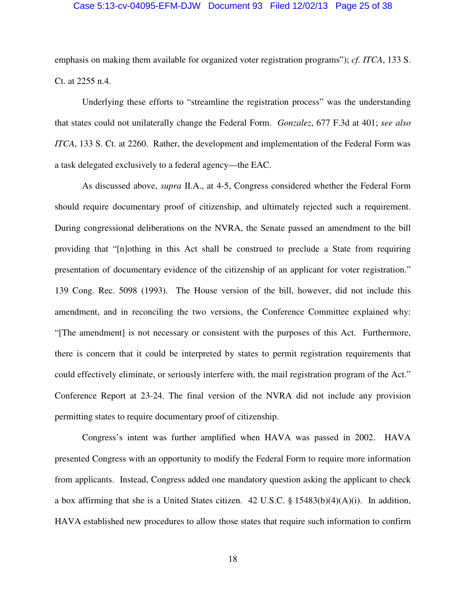#### Case 5:13-cv-04095-EFM-DJW Document 93 Filed 12/02/13 Page 25 of 38

emphasis on making them available for organized voter registration programs"); *cf. ITCA*, 133 S. Ct. at 2255 n.4.

Underlying these efforts to "streamline the registration process" was the understanding that states could not unilaterally change the Federal Form. *Gonzalez*, 677 F.3d at 401; *see also ITCA*, 133 S. Ct. at 2260. Rather, the development and implementation of the Federal Form was a task delegated exclusively to a federal agency—the EAC.

As discussed above, *supra* II.A., at 4-5, Congress considered whether the Federal Form should require documentary proof of citizenship, and ultimately rejected such a requirement. During congressional deliberations on the NVRA, the Senate passed an amendment to the bill providing that "[n]othing in this Act shall be construed to preclude a State from requiring presentation of documentary evidence of the citizenship of an applicant for voter registration." 139 Cong. Rec. 5098 (1993). The House version of the bill, however, did not include this amendment, and in reconciling the two versions, the Conference Committee explained why: "[The amendment] is not necessary or consistent with the purposes of this Act. Furthermore, there is concern that it could be interpreted by states to permit registration requirements that could effectively eliminate, or seriously interfere with, the mail registration program of the Act." Conference Report at 23-24. The final version of the NVRA did not include any provision permitting states to require documentary proof of citizenship.

Congress's intent was further amplified when HAVA was passed in 2002. HAVA presented Congress with an opportunity to modify the Federal Form to require more information from applicants. Instead, Congress added one mandatory question asking the applicant to check a box affirming that she is a United States citizen.  $42 \text{ U.S.C.}$  §  $15483(b)(4)(A)(i)$ . In addition, HAVA established new procedures to allow those states that require such information to confirm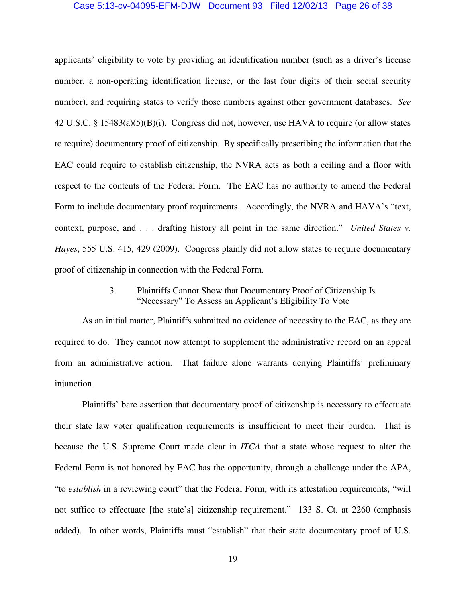#### Case 5:13-cv-04095-EFM-DJW Document 93 Filed 12/02/13 Page 26 of 38

applicants' eligibility to vote by providing an identification number (such as a driver's license number, a non-operating identification license, or the last four digits of their social security number), and requiring states to verify those numbers against other government databases. *See* 42 U.S.C. § 15483(a)(5)(B)(i). Congress did not, however, use HAVA to require (or allow states to require) documentary proof of citizenship.By specifically prescribing the information that the EAC could require to establish citizenship, the NVRA acts as both a ceiling and a floor with respect to the contents of the Federal Form. The EAC has no authority to amend the Federal Form to include documentary proof requirements. Accordingly, the NVRA and HAVA's "text, context, purpose, and . . . drafting history all point in the same direction." *United States v. Hayes*, 555 U.S. 415, 429 (2009). Congress plainly did not allow states to require documentary proof of citizenship in connection with the Federal Form.

### 3. Plaintiffs Cannot Show that Documentary Proof of Citizenship Is "Necessary" To Assess an Applicant's Eligibility To Vote

As an initial matter, Plaintiffs submitted no evidence of necessity to the EAC, as they are required to do. They cannot now attempt to supplement the administrative record on an appeal from an administrative action. That failure alone warrants denying Plaintiffs' preliminary injunction.

Plaintiffs' bare assertion that documentary proof of citizenship is necessary to effectuate their state law voter qualification requirements is insufficient to meet their burden. That is because the U.S. Supreme Court made clear in *ITCA* that a state whose request to alter the Federal Form is not honored by EAC has the opportunity, through a challenge under the APA, "to *establish* in a reviewing court" that the Federal Form, with its attestation requirements, "will not suffice to effectuate [the state's] citizenship requirement." 133 S. Ct. at 2260 (emphasis added). In other words, Plaintiffs must "establish" that their state documentary proof of U.S.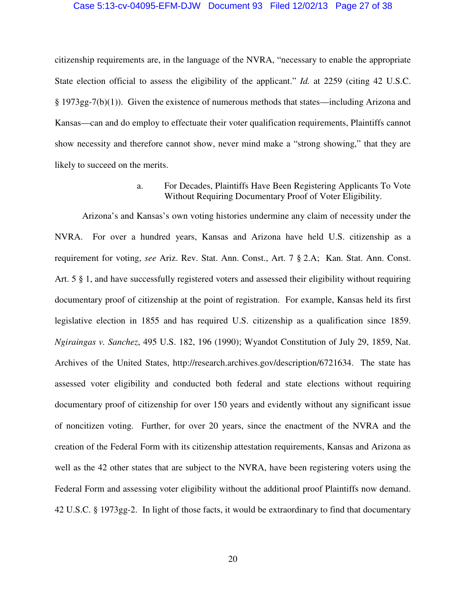#### Case 5:13-cv-04095-EFM-DJW Document 93 Filed 12/02/13 Page 27 of 38

citizenship requirements are, in the language of the NVRA, "necessary to enable the appropriate State election official to assess the eligibility of the applicant." *Id.* at 2259 (citing 42 U.S.C. § 1973gg-7(b)(1)). Given the existence of numerous methods that states—including Arizona and Kansas—can and do employ to effectuate their voter qualification requirements, Plaintiffs cannot show necessity and therefore cannot show, never mind make a "strong showing," that they are likely to succeed on the merits.

> a. For Decades, Plaintiffs Have Been Registering Applicants To Vote Without Requiring Documentary Proof of Voter Eligibility.

Arizona's and Kansas's own voting histories undermine any claim of necessity under the NVRA. For over a hundred years, Kansas and Arizona have held U.S. citizenship as a requirement for voting, *see* Ariz. Rev. Stat. Ann. Const., Art. 7 § 2.A; Kan. Stat. Ann. Const. Art. 5 § 1, and have successfully registered voters and assessed their eligibility without requiring documentary proof of citizenship at the point of registration. For example, Kansas held its first legislative election in 1855 and has required U.S. citizenship as a qualification since 1859. *Ngiraingas v. Sanchez*, 495 U.S. 182, 196 (1990); Wyandot Constitution of July 29, 1859, Nat. Archives of the United States, http://research.archives.gov/description/6721634. The state has assessed voter eligibility and conducted both federal and state elections without requiring documentary proof of citizenship for over 150 years and evidently without any significant issue of noncitizen voting. Further, for over 20 years, since the enactment of the NVRA and the creation of the Federal Form with its citizenship attestation requirements, Kansas and Arizona as well as the 42 other states that are subject to the NVRA, have been registering voters using the Federal Form and assessing voter eligibility without the additional proof Plaintiffs now demand. 42 U.S.C. § 1973gg-2. In light of those facts, it would be extraordinary to find that documentary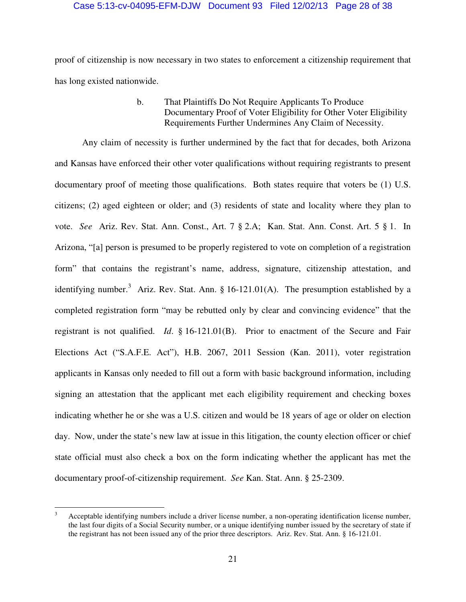#### Case 5:13-cv-04095-EFM-DJW Document 93 Filed 12/02/13 Page 28 of 38

proof of citizenship is now necessary in two states to enforcement a citizenship requirement that has long existed nationwide.

### b. That Plaintiffs Do Not Require Applicants To Produce Documentary Proof of Voter Eligibility for Other Voter Eligibility Requirements Further Undermines Any Claim of Necessity.

Any claim of necessity is further undermined by the fact that for decades, both Arizona and Kansas have enforced their other voter qualifications without requiring registrants to present documentary proof of meeting those qualifications. Both states require that voters be (1) U.S. citizens; (2) aged eighteen or older; and (3) residents of state and locality where they plan to vote. *See* Ariz. Rev. Stat. Ann. Const., Art. 7 § 2.A; Kan. Stat. Ann. Const. Art. 5 § 1. In Arizona, "[a] person is presumed to be properly registered to vote on completion of a registration form" that contains the registrant's name, address, signature, citizenship attestation, and identifying number.<sup>3</sup> Ariz. Rev. Stat. Ann. § 16-121.01(A). The presumption established by a completed registration form "may be rebutted only by clear and convincing evidence" that the registrant is not qualified. *Id*. § 16-121.01(B). Prior to enactment of the Secure and Fair Elections Act ("S.A.F.E. Act"), H.B. 2067, 2011 Session (Kan. 2011), voter registration applicants in Kansas only needed to fill out a form with basic background information, including signing an attestation that the applicant met each eligibility requirement and checking boxes indicating whether he or she was a U.S. citizen and would be 18 years of age or older on election day. Now, under the state's new law at issue in this litigation, the county election officer or chief state official must also check a box on the form indicating whether the applicant has met the documentary proof-of-citizenship requirement. *See* Kan. Stat. Ann. § 25-2309.

 $\overline{a}$ 3 Acceptable identifying numbers include a driver license number, a non-operating identification license number, the last four digits of a Social Security number, or a unique identifying number issued by the secretary of state if the registrant has not been issued any of the prior three descriptors. Ariz. Rev. Stat. Ann. § 16-121.01.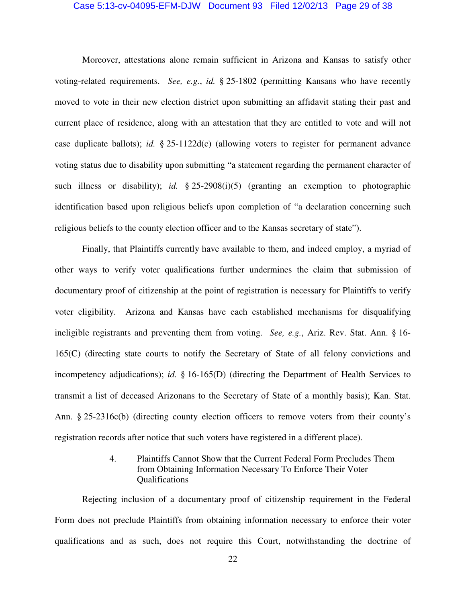#### Case 5:13-cv-04095-EFM-DJW Document 93 Filed 12/02/13 Page 29 of 38

Moreover, attestations alone remain sufficient in Arizona and Kansas to satisfy other voting-related requirements. *See, e.g.*, *id.* § 25-1802 (permitting Kansans who have recently moved to vote in their new election district upon submitting an affidavit stating their past and current place of residence, along with an attestation that they are entitled to vote and will not case duplicate ballots); *id.* § 25-1122d(c) (allowing voters to register for permanent advance voting status due to disability upon submitting "a statement regarding the permanent character of such illness or disability); *id.* § 25-2908(i)(5) (granting an exemption to photographic identification based upon religious beliefs upon completion of "a declaration concerning such religious beliefs to the county election officer and to the Kansas secretary of state").

Finally, that Plaintiffs currently have available to them, and indeed employ, a myriad of other ways to verify voter qualifications further undermines the claim that submission of documentary proof of citizenship at the point of registration is necessary for Plaintiffs to verify voter eligibility. Arizona and Kansas have each established mechanisms for disqualifying ineligible registrants and preventing them from voting. *See, e.g.*, Ariz. Rev. Stat. Ann. § 16- 165(C) (directing state courts to notify the Secretary of State of all felony convictions and incompetency adjudications); *id.* § 16-165(D) (directing the Department of Health Services to transmit a list of deceased Arizonans to the Secretary of State of a monthly basis); Kan. Stat. Ann. § 25-2316c(b) (directing county election officers to remove voters from their county's registration records after notice that such voters have registered in a different place).

### 4. Plaintiffs Cannot Show that the Current Federal Form Precludes Them from Obtaining Information Necessary To Enforce Their Voter Qualifications

Rejecting inclusion of a documentary proof of citizenship requirement in the Federal Form does not preclude Plaintiffs from obtaining information necessary to enforce their voter qualifications and as such, does not require this Court, notwithstanding the doctrine of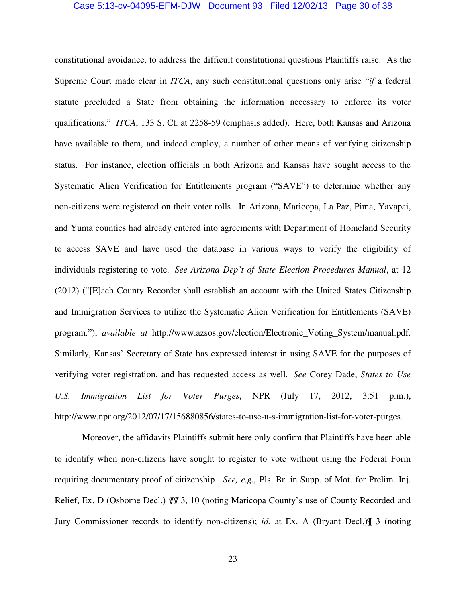#### Case 5:13-cv-04095-EFM-DJW Document 93 Filed 12/02/13 Page 30 of 38

constitutional avoidance, to address the difficult constitutional questions Plaintiffs raise. As the Supreme Court made clear in *ITCA*, any such constitutional questions only arise "*if* a federal statute precluded a State from obtaining the information necessary to enforce its voter qualifications." *ITCA*, 133 S. Ct. at 2258-59 (emphasis added). Here, both Kansas and Arizona have available to them, and indeed employ, a number of other means of verifying citizenship status. For instance, election officials in both Arizona and Kansas have sought access to the Systematic Alien Verification for Entitlements program ("SAVE") to determine whether any non-citizens were registered on their voter rolls. In Arizona, Maricopa, La Paz, Pima, Yavapai, and Yuma counties had already entered into agreements with Department of Homeland Security to access SAVE and have used the database in various ways to verify the eligibility of individuals registering to vote. *See Arizona Dep't of State Election Procedures Manual*, at 12 (2012) ("[E]ach County Recorder shall establish an account with the United States Citizenship and Immigration Services to utilize the Systematic Alien Verification for Entitlements (SAVE) program."), *available at* http://www.azsos.gov/election/Electronic\_Voting\_System/manual.pdf. Similarly, Kansas' Secretary of State has expressed interest in using SAVE for the purposes of verifying voter registration, and has requested access as well. *See* Corey Dade, *States to Use U.S. Immigration List for Voter Purges*, NPR (July 17, 2012, 3:51 p.m.), http://www.npr.org/2012/07/17/156880856/states-to-use-u-s-immigration-list-for-voter-purges.

Moreover, the affidavits Plaintiffs submit here only confirm that Plaintiffs have been able to identify when non-citizens have sought to register to vote without using the Federal Form requiring documentary proof of citizenship. *See, e.g.,* Pls. Br. in Supp. of Mot. for Prelim. Inj. Relief, Ex. D (Osborne Decl.) *¶¶* 3, 10 (noting Maricopa County's use of County Recorded and Jury Commissioner records to identify non-citizens); *id.* at Ex. A (Bryant Decl.)¶ 3 (noting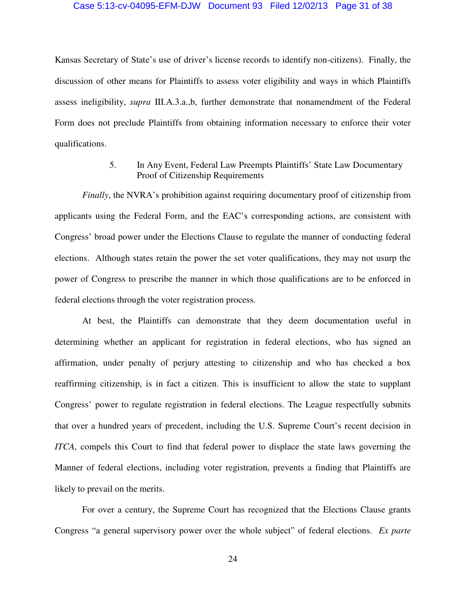#### Case 5:13-cv-04095-EFM-DJW Document 93 Filed 12/02/13 Page 31 of 38

Kansas Secretary of State's use of driver's license records to identify non-citizens). Finally, the discussion of other means for Plaintiffs to assess voter eligibility and ways in which Plaintiffs assess ineligibility, *supra* III.A.3.a.,b, further demonstrate that nonamendment of the Federal Form does not preclude Plaintiffs from obtaining information necessary to enforce their voter qualifications.

## 5. In Any Event, Federal Law Preempts Plaintiffs' State Law Documentary Proof of Citizenship Requirements

*Finally*, the NVRA's prohibition against requiring documentary proof of citizenship from applicants using the Federal Form, and the EAC's corresponding actions, are consistent with Congress' broad power under the Elections Clause to regulate the manner of conducting federal elections. Although states retain the power the set voter qualifications, they may not usurp the power of Congress to prescribe the manner in which those qualifications are to be enforced in federal elections through the voter registration process.

At best, the Plaintiffs can demonstrate that they deem documentation useful in determining whether an applicant for registration in federal elections, who has signed an affirmation, under penalty of perjury attesting to citizenship and who has checked a box reaffirming citizenship, is in fact a citizen. This is insufficient to allow the state to supplant Congress' power to regulate registration in federal elections. The League respectfully submits that over a hundred years of precedent, including the U.S. Supreme Court's recent decision in *ITCA*, compels this Court to find that federal power to displace the state laws governing the Manner of federal elections, including voter registration, prevents a finding that Plaintiffs are likely to prevail on the merits.

For over a century, the Supreme Court has recognized that the Elections Clause grants Congress "a general supervisory power over the whole subject" of federal elections. *Ex parte*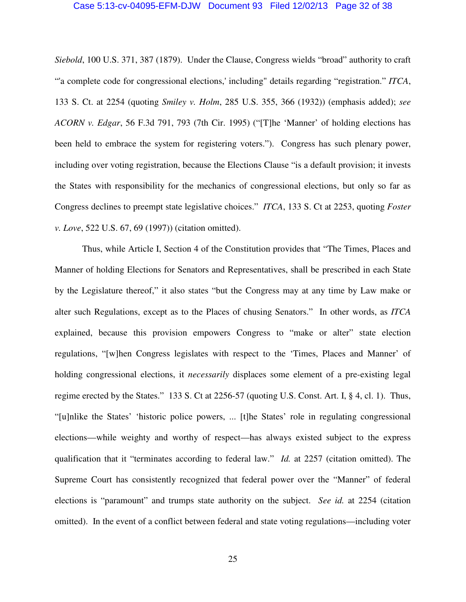#### Case 5:13-cv-04095-EFM-DJW Document 93 Filed 12/02/13 Page 32 of 38

*Siebold*, 100 U.S. 371, 387 (1879). Under the Clause, Congress wields "broad" authority to craft "'a complete code for congressional elections,' including" details regarding "registration." *ITCA*, 133 S. Ct. at 2254 (quoting *Smiley v. Holm*, 285 U.S. 355, 366 (1932)) (emphasis added); *see ACORN v. Edgar*, 56 F.3d 791, 793 (7th Cir. 1995) ("[T]he 'Manner' of holding elections has been held to embrace the system for registering voters."). Congress has such plenary power, including over voting registration, because the Elections Clause "is a default provision; it invests the States with responsibility for the mechanics of congressional elections, but only so far as Congress declines to preempt state legislative choices." *ITCA*, 133 S. Ct at 2253, quoting *Foster v. Love*, 522 U.S. 67, 69 (1997)) (citation omitted).

Thus, while Article I, Section 4 of the Constitution provides that "The Times, Places and Manner of holding Elections for Senators and Representatives, shall be prescribed in each State by the Legislature thereof," it also states "but the Congress may at any time by Law make or alter such Regulations, except as to the Places of chusing Senators." In other words, as *ITCA* explained, because this provision empowers Congress to "make or alter" state election regulations, "[w]hen Congress legislates with respect to the 'Times, Places and Manner' of holding congressional elections, it *necessarily* displaces some element of a pre-existing legal regime erected by the States." 133 S. Ct at 2256-57 (quoting U.S. Const. Art. I, § 4, cl. 1). Thus, "[u]nlike the States' 'historic police powers, ... [t]he States' role in regulating congressional elections—while weighty and worthy of respect—has always existed subject to the express qualification that it "terminates according to federal law." *Id.* at 2257 (citation omitted). The Supreme Court has consistently recognized that federal power over the "Manner" of federal elections is "paramount" and trumps state authority on the subject. *See id.* at 2254 (citation omitted). In the event of a conflict between federal and state voting regulations—including voter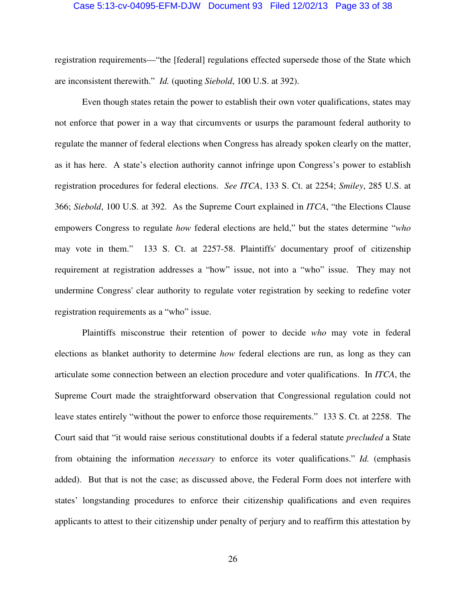#### Case 5:13-cv-04095-EFM-DJW Document 93 Filed 12/02/13 Page 33 of 38

registration requirements—"the [federal] regulations effected supersede those of the State which are inconsistent therewith." *Id.* (quoting *Siebold*, 100 U.S. at 392).

Even though states retain the power to establish their own voter qualifications, states may not enforce that power in a way that circumvents or usurps the paramount federal authority to regulate the manner of federal elections when Congress has already spoken clearly on the matter, as it has here. A state's election authority cannot infringe upon Congress's power to establish registration procedures for federal elections. *See ITCA*, 133 S. Ct. at 2254; *Smiley*, 285 U.S. at 366; *Siebold*, 100 U.S. at 392. As the Supreme Court explained in *ITCA*, "the Elections Clause empowers Congress to regulate *how* federal elections are held," but the states determine "*who* may vote in them." 133 S. Ct. at 2257-58. Plaintiffs' documentary proof of citizenship requirement at registration addresses a "how" issue, not into a "who" issue. They may not undermine Congress' clear authority to regulate voter registration by seeking to redefine voter registration requirements as a "who" issue.

Plaintiffs misconstrue their retention of power to decide *who* may vote in federal elections as blanket authority to determine *how* federal elections are run, as long as they can articulate some connection between an election procedure and voter qualifications. In *ITCA*, the Supreme Court made the straightforward observation that Congressional regulation could not leave states entirely "without the power to enforce those requirements." 133 S. Ct. at 2258. The Court said that "it would raise serious constitutional doubts if a federal statute *precluded* a State from obtaining the information *necessary* to enforce its voter qualifications." *Id.* (emphasis added). But that is not the case; as discussed above, the Federal Form does not interfere with states' longstanding procedures to enforce their citizenship qualifications and even requires applicants to attest to their citizenship under penalty of perjury and to reaffirm this attestation by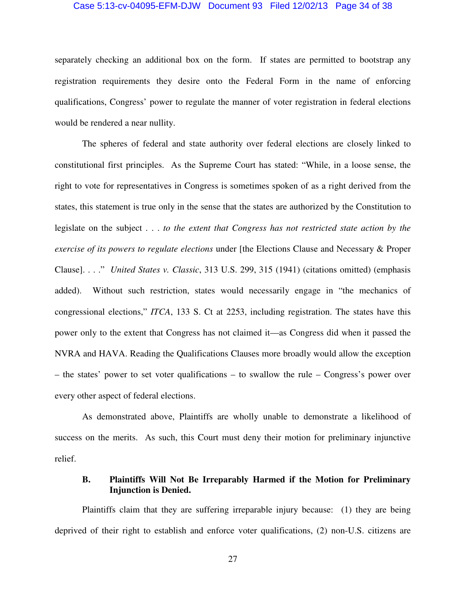#### Case 5:13-cv-04095-EFM-DJW Document 93 Filed 12/02/13 Page 34 of 38

separately checking an additional box on the form. If states are permitted to bootstrap any registration requirements they desire onto the Federal Form in the name of enforcing qualifications, Congress' power to regulate the manner of voter registration in federal elections would be rendered a near nullity.

The spheres of federal and state authority over federal elections are closely linked to constitutional first principles. As the Supreme Court has stated: "While, in a loose sense, the right to vote for representatives in Congress is sometimes spoken of as a right derived from the states, this statement is true only in the sense that the states are authorized by the Constitution to legislate on the subject . . . *to the extent that Congress has not restricted state action by the exercise of its powers to regulate elections* under [the Elections Clause and Necessary & Proper Clause]. . . ." *United States v. Classic*, 313 U.S. 299, 315 (1941) (citations omitted) (emphasis added). Without such restriction, states would necessarily engage in "the mechanics of congressional elections," *ITCA*, 133 S. Ct at 2253, including registration. The states have this power only to the extent that Congress has not claimed it—as Congress did when it passed the NVRA and HAVA. Reading the Qualifications Clauses more broadly would allow the exception – the states' power to set voter qualifications – to swallow the rule – Congress's power over every other aspect of federal elections.

As demonstrated above, Plaintiffs are wholly unable to demonstrate a likelihood of success on the merits. As such, this Court must deny their motion for preliminary injunctive relief.

### **B. Plaintiffs Will Not Be Irreparably Harmed if the Motion for Preliminary Injunction is Denied.**

Plaintiffs claim that they are suffering irreparable injury because: (1) they are being deprived of their right to establish and enforce voter qualifications, (2) non-U.S. citizens are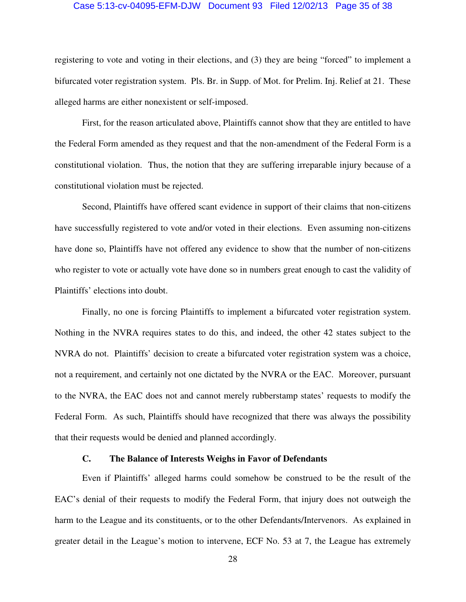#### Case 5:13-cv-04095-EFM-DJW Document 93 Filed 12/02/13 Page 35 of 38

registering to vote and voting in their elections, and (3) they are being "forced" to implement a bifurcated voter registration system. Pls. Br. in Supp. of Mot. for Prelim. Inj. Relief at 21. These alleged harms are either nonexistent or self-imposed.

First, for the reason articulated above, Plaintiffs cannot show that they are entitled to have the Federal Form amended as they request and that the non-amendment of the Federal Form is a constitutional violation. Thus, the notion that they are suffering irreparable injury because of a constitutional violation must be rejected.

Second, Plaintiffs have offered scant evidence in support of their claims that non-citizens have successfully registered to vote and/or voted in their elections. Even assuming non-citizens have done so, Plaintiffs have not offered any evidence to show that the number of non-citizens who register to vote or actually vote have done so in numbers great enough to cast the validity of Plaintiffs' elections into doubt.

Finally, no one is forcing Plaintiffs to implement a bifurcated voter registration system. Nothing in the NVRA requires states to do this, and indeed, the other 42 states subject to the NVRA do not. Plaintiffs' decision to create a bifurcated voter registration system was a choice, not a requirement, and certainly not one dictated by the NVRA or the EAC. Moreover, pursuant to the NVRA, the EAC does not and cannot merely rubberstamp states' requests to modify the Federal Form. As such, Plaintiffs should have recognized that there was always the possibility that their requests would be denied and planned accordingly.

#### **C. The Balance of Interests Weighs in Favor of Defendants**

Even if Plaintiffs' alleged harms could somehow be construed to be the result of the EAC's denial of their requests to modify the Federal Form, that injury does not outweigh the harm to the League and its constituents, or to the other Defendants/Intervenors. As explained in greater detail in the League's motion to intervene, ECF No. 53 at 7, the League has extremely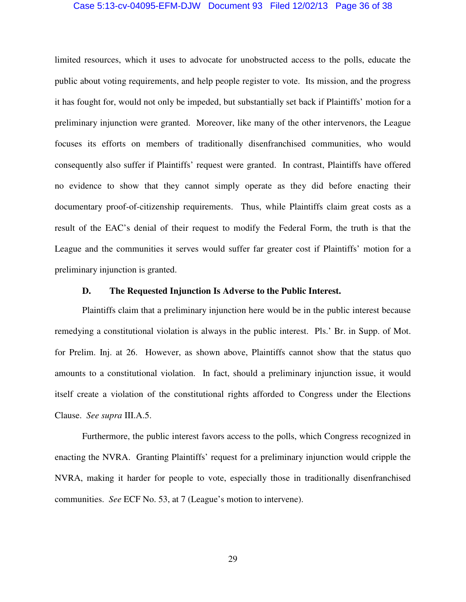#### Case 5:13-cv-04095-EFM-DJW Document 93 Filed 12/02/13 Page 36 of 38

limited resources, which it uses to advocate for unobstructed access to the polls, educate the public about voting requirements, and help people register to vote. Its mission, and the progress it has fought for, would not only be impeded, but substantially set back if Plaintiffs' motion for a preliminary injunction were granted. Moreover, like many of the other intervenors, the League focuses its efforts on members of traditionally disenfranchised communities, who would consequently also suffer if Plaintiffs' request were granted. In contrast, Plaintiffs have offered no evidence to show that they cannot simply operate as they did before enacting their documentary proof-of-citizenship requirements. Thus, while Plaintiffs claim great costs as a result of the EAC's denial of their request to modify the Federal Form, the truth is that the League and the communities it serves would suffer far greater cost if Plaintiffs' motion for a preliminary injunction is granted.

#### **D. The Requested Injunction Is Adverse to the Public Interest.**

Plaintiffs claim that a preliminary injunction here would be in the public interest because remedying a constitutional violation is always in the public interest. Pls.' Br. in Supp. of Mot. for Prelim. Inj. at 26. However, as shown above, Plaintiffs cannot show that the status quo amounts to a constitutional violation. In fact, should a preliminary injunction issue, it would itself create a violation of the constitutional rights afforded to Congress under the Elections Clause. *See supra* III.A.5.

Furthermore, the public interest favors access to the polls, which Congress recognized in enacting the NVRA. Granting Plaintiffs' request for a preliminary injunction would cripple the NVRA, making it harder for people to vote, especially those in traditionally disenfranchised communities. *See* ECF No. 53, at 7 (League's motion to intervene).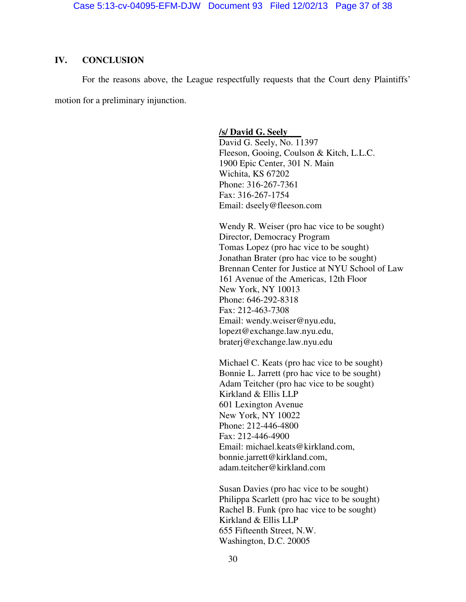### **IV. CONCLUSION**

For the reasons above, the League respectfully requests that the Court deny Plaintiffs' motion for a preliminary injunction.

### **/s/ David G. Seely**

David G. Seely, No. 11397 Fleeson, Gooing, Coulson & Kitch, L.L.C. 1900 Epic Center, 301 N. Main Wichita, KS 67202 Phone: 316-267-7361 Fax: 316-267-1754 Email: dseely@fleeson.com

Wendy R. Weiser (pro hac vice to be sought) Director, Democracy Program Tomas Lopez (pro hac vice to be sought) Jonathan Brater (pro hac vice to be sought) Brennan Center for Justice at NYU School of Law 161 Avenue of the Americas, 12th Floor New York, NY 10013 Phone: 646-292-8318 Fax: 212-463-7308 Email: wendy.weiser@nyu.edu, lopezt@exchange.law.nyu.edu, braterj@exchange.law.nyu.edu

Michael C. Keats (pro hac vice to be sought) Bonnie L. Jarrett (pro hac vice to be sought) Adam Teitcher (pro hac vice to be sought) Kirkland & Ellis LLP 601 Lexington Avenue New York, NY 10022 Phone: 212-446-4800 Fax: 212-446-4900 Email: michael.keats@kirkland.com, bonnie.jarrett@kirkland.com, adam.teitcher@kirkland.com

Susan Davies (pro hac vice to be sought) Philippa Scarlett (pro hac vice to be sought) Rachel B. Funk (pro hac vice to be sought) Kirkland & Ellis LLP 655 Fifteenth Street, N.W. Washington, D.C. 20005